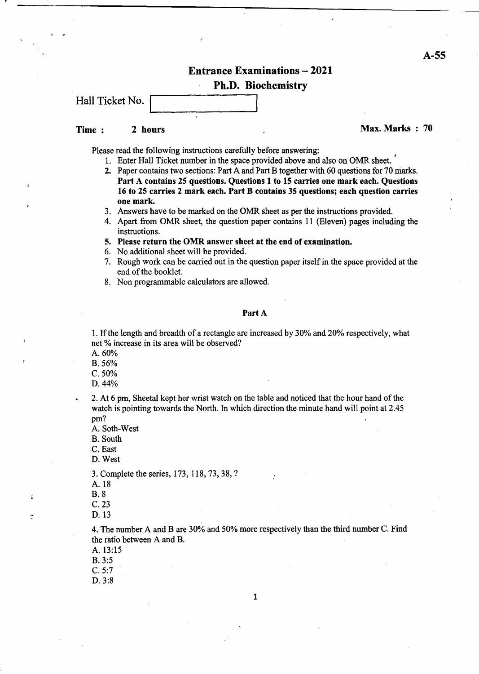## Entrance Examinations - 2021 Ph.D. Biochemistry

Hall Ticket No.

### Time: 2 hours 2 Now 2 2 hours 2 Now 2 2 hours 2 Now 2 2 Now 2 2 Now 2 Now 2 Now 2 Now 2 Now 2 Now 2 Now 2 Now 2 Now 2 Now 2 Now 2 Now 2 Now 2 Now 2 Now 2 Now 2 Now 2 Now 2 Now 2 Now 2 Now 2 Now 2 Now 2 Now 2 Now 2 Now 2 No

Please read the following instructions carefully before answering:

- 1. Enter Hall Ticket number in the space provided above and also on OMR sheet. <sup>I</sup>
- 2. Paper contains two sections: Part A and Part B together with 60 questions for 70 marks. Part A contains 25 questions. Questions 1 to 15 carries one mark each. Questions 16 to 25 carries 2 mark each. Part B contains 35 questions; each question carries one mark.
- 3. Answers have to be marked on the OMR sheet as per the instructions provided.
- 4. Apart from OMR sheet, the question paper contains 11 (Eleven) pages including the instructions.
- 5. Please return the OMR answer sheet at the end of examination.
- 6. No additional sheet will be provided.
- 7. Rough work can be carried out in the question paper itself in the space provided at the end of the booklet.
- 8. Non programmable calculators are allowed.

Part A

1. If the length and breadth of a rectangle are increased by 30% and 20% respectively, what net % increase in its area will be observed?

A.60%

B. 56%

C.50%

D.44%

2. At 6 pm, Sheetal kept her wrist watch on the table and noticed that the hour hand of the watch is pointing towards the North. In which direction the minute hand will point at 2.45 pm?

A. Soth-West

B. South

C. East

D. West

3. Complete the series, 173, 118, 73, 38, ?

B.8

C.23

D.13

C

4. The number A and Bare 30% and 50% more respectively than the third number C. Find the ratio between A and B.

- A. 13:15
- B. 3:5

C.5:7

D.3:8

A. 18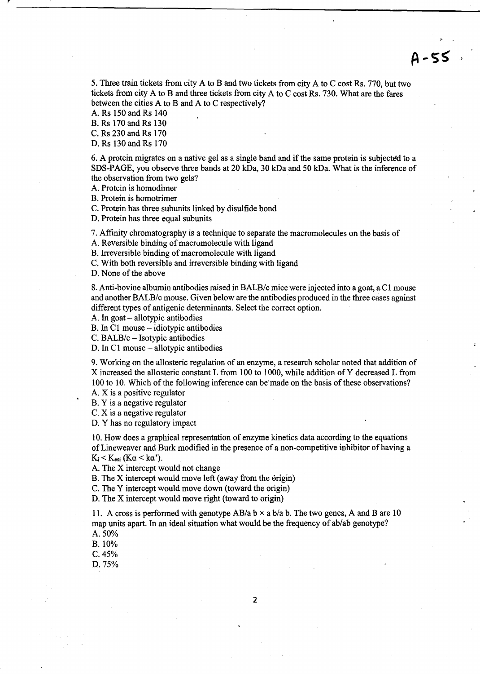5. Three train tickets from city A to B and two tickets from city A to C cost Rs. 770, but two tickets from city A to B and three tickets from city A to C cost Rs. 730. What are the fares between the cities A to B and A to C respectively?

 $4 - 55$ 

A. Rs 150 and Rs 140

B. Rs 170 and Rs 130

C. Rs 230 and Rs 170

D. Rs 130 and Rs 170

6. A protein migrates on a native gel as a single band and if the same protein is subjected to a SDS-PAGE, you observe three bands at 20 kDa, 30 kDa and 50 kDa. What is the inference of the observation from two gels?

A. Protein is homodimer

B. Protein is homotrimer

C. Protein has three subunits linked by disulfide bond

D. Protein has three equal subunits

7. Affinity chromatography is a technique to separate the macromolecules on the basis of

A. Reversible binding of macromolecule with ligand

B. Irreversible binding of macromolecule with ligand

C. With both reversible and irreversible binding with ligand

D. None of the above

8. Anti-bovine albumin antibodies raised in *BALB/c* mice were injected into a goat, a C 1 mouse and another BALB/c mouse. Given below are the antibodies produced in the three cases against different types of antigenic determinants. Select the correct option.

A. In goat – allotypic antibodies

B. In C1 mouse - idiotypic antibodies

C. BALB/c - Isotypic antibodies

D. In C1 mouse - allotypic antibodies

9. Working on the allosteric regulation of an enzyme, a research scholar noted that addition of X increased the allosteric constant L from 100 to 1000, while addition of Y decreased L from 100 to 10. Which of the following inference can be'made on the basis ofthese observations?

A. X is a positive regulator

B. Y is a negative regulator

C. X is a negative regulator

D. Y has no regulatory impact

10. How does a graphical representation of enzyme kinetics data according to the equations of Lineweaver and Burk modified in the presence of a non-competitive inhibitor of having a  $K_i < K_{esi}$  ( $K\alpha < k\alpha'$ ).

A. The X intercept would not change

B. The  $X$  intercept would move left (away from the origin)

c. The Y intercept would move down (toward the origin)

D. The X intercept would move right (toward to origin)

11. A cross is performed with genotype  $AB/a b \times a b/a b$ . The two genes, A and B are 10 map units apart. In an ideal situation what would be the frequency of ab/ab genotype?

A. 50%

B.10%

C.45%

D.75%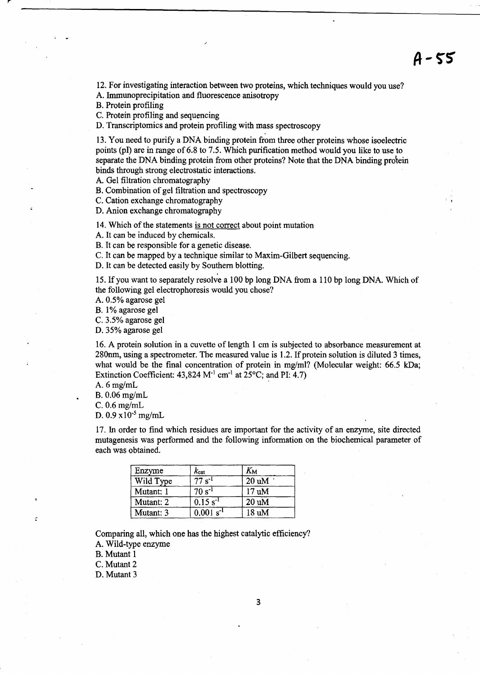12. For investigating interaction between two proteins, which techniques would you use? A. Immunoprecipitation and fluorescence anisotropy

B. Protein profiling

C. Protein profiling and sequencing

D. Transcriptomics and protein profiling with mass spectroscopy

13. You need to purify a DNA binding protein from three other proteins whose isoelectric points (pI) are in range of 6.8 to 7.5. Which purification method would you like to use to separate the DNA binding protein from other proteins? Note that the DNA binding protein binds through strong electrostatic interactions.

A. Gel filtration chromatography

B. Combination of gel filtration and spectroscopy

C. Cation exchange chromatography

D. Anion exchange chromatography

14. Which of the statements is not correct about point mutation

A. It can be induced by chemicals.

B. It can be responsible for a genetic disease.

C. It can be mapped by a technique similar to Maxim-Gilbert sequencing.

D. It can be detected easily by Southern blotting.

15. If you want to separately resolve a 100 bp long DNA from a 110 bp long DNA. Which of the following gel electrophoresis would you chose?

A. 0.5% agarose gel

B. 1% agarose gel

C. 3.5% agarose gel

D. 35% agarose gel

16. A protein solution in a cuvette of length 1 cm is subjected to absorbance measurement at 280nm, using a spectrometer. The measured value is 1.2. If protein solution is diluted 3 times, what would be the final concentration of protein in mg/ml? (Molecular weight:  $66.5$  kDa; Extinction Coefficient:  $43,824$  M<sup>-1</sup> cm<sup>-1</sup> at  $25^{\circ}$ C; and PI:  $4.7$ )

A.  $6$  mg/mL

B.  $0.06$  mg/mL

C.  $0.6$  mg/mL

D.  $0.9 \times 10^{-5}$  mg/mL

17. In order to find which residues are important for the activity of an enzyme, site directed mutagenesis was performed and the following information on the biochemical parameter of each was obtained.

| Enzyme    | $k_{\rm cat}$                   | $K_{\rm M}$     |
|-----------|---------------------------------|-----------------|
| Wild Type | $\overline{77}$ s <sup>-1</sup> | $20 \text{ uM}$ |
| Mutant: 1 | $70 s^{-1}$                     | 17 uM           |
| Mutant: 2 | $0.15 s^{-1}$                   | $20 \text{ uM}$ |
| Mutant: 3 | $0.001 s^{-1}$                  | 18 uM           |

Comparing all, which one has the highest catalytic efficiency? A. Wild-type enzyme

B. Mutant 1

C. Mutant 2

:

D. Mutant 3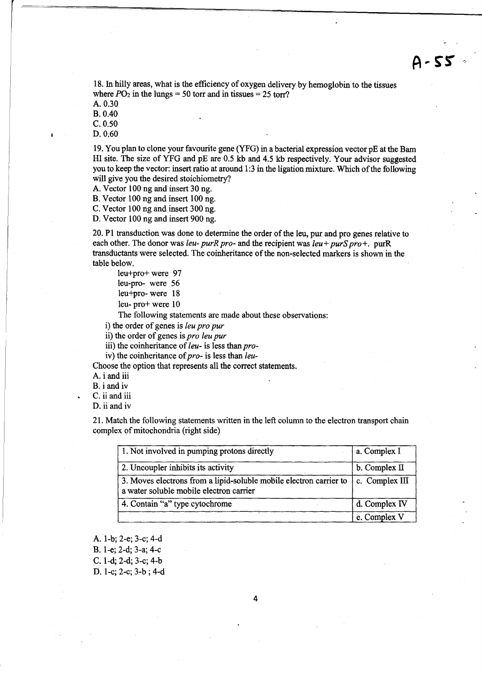18. In hilly areas, what is the efficiency of oxygen delivery by hemoglobin to the tissues where  $PO_2$  in the lungs = 50 torr and in tissues = 25 torr?

A. 0.30

B. 0.40

C.0.50

D.0.60

19. You plan to clone your favourite gene (YFG) in a bacterial expression vector pE at the Bam HI site. The size of YFG and pE are 0.5 kb and 4.5 kb respectively. Your advisor suggested you to keep the vector: insert ratio at around 1:3 in the ligation mixture. Which of the following will give you the desired stoichiometry?

A. Vector 100 ng and insert 30 ng.

B. Vector 100 ng and insert 100 ng.

C. Vector 100 ng and insert 300 ng.

D. Vector 100 ng and insert 900 ng.

20. PI transduction was done to determine the order of the leu, pur and pro genes relative to each other. The donor was *leu- purR pro-* and the recipient was *leu+ purS pro+*. purR transductants were selected. The coinheritance of the non-selected markers is shown in the table below.

leu+pro+ were 97 leu-pro- were 56 leu+pro- were 18 leu- pro+ were 10

The following statements are made about these observations:

i) the order of genes is *leu pro pur* 

ii) the order of genes is *pro leu pur* 

iii) the coinheritance of leu- is less than *pro-*

iv) the coinheritance of *pro-* is less than *leu-*

Choose the option that represents all the correct statements.

A. i and iii

B. i and iv

C. ii and iii

D. ii and iv

21. Match the following statements written in the left column to the electron transport chain complex of mitochondria (right side)

| 1. Not involved in pumping protons directly                                                                   | a. Complex I   |
|---------------------------------------------------------------------------------------------------------------|----------------|
| 2. Uncoupler inhibits its activity                                                                            | b. Complex II  |
| 3. Moves electrons from a lipid-soluble mobile electron carrier to<br>a water soluble mobile electron carrier | c. Complex III |
| 4. Contain "a" type cytochrome                                                                                | d. Complex IV  |
|                                                                                                               | e. Complex V   |

A. 1-b; 2-e; 3-c; 4-d

B. l-e; 2-d; 3-a; 4-c

C. I-d; 2-d; 3-c; 4-b

D. l-c; 2-c; 3-b ; 4-d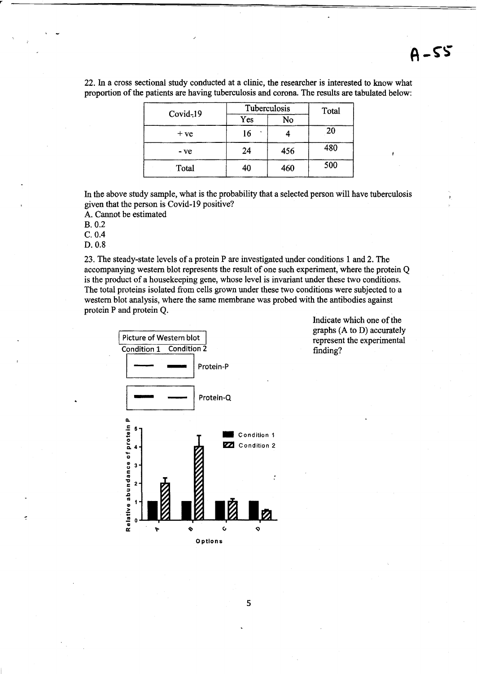22. In a cross sectional study conducted at a clinic, the researcher is interested to know what proportion of the patients are having tuberculosis and corona. The results are tabulated below:

|            | Tuberculosis |     | Total |
|------------|--------------|-----|-------|
| $Covid-19$ | Yes          | No  |       |
| $+ve$      | 16           |     | 20    |
| $-ve$      | 24           | 456 | 480   |
| Total      | 40           | 460 | 500   |

In the above study sample, what is the probability that a selected person will have tuberculosis given that the person is Covid-19 positive?

A. Cannot be estimated

B. 0.2

C.O.4

D.0.8

ċ

23. The steady-state levels of a protein P are investigated under conditions 1 and 2. The accompanying western blot represents the result of one such experiment, where the protein Q is the product of a housekeeping gene, whose level is invariant under these two conditions. The total proteins isolated from cells grown under these two conditions were subjected to a western blot analysis, where the same membrane was probed with the antibodies against protein P and protein Q.



Indicate which one of the graphs (A to D) accurately represent the experimental finding?

5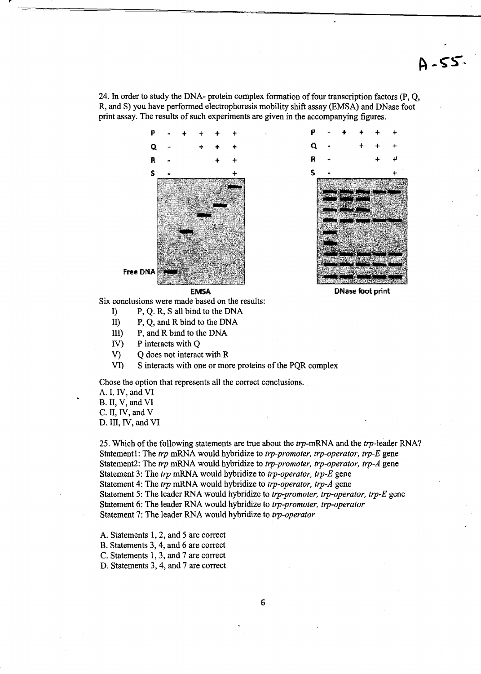24. In order to study the DNA- protein complex formation of four transcription factors (P, O, R, and S) you have performed electrophoresis mobility shift assay (EMSA) and DNase foot print assay. The results of such experiments are given in the accompanying figures.





DNase foot print

Six conclusions were made based on the results:

- I) P, Q. R, S all bind to the DNA
- II) P, Q, and R bind to the DNA
- III) P, and R bind to the DNA
- IV) P interacts with Q
- V) Q does not interact with R
- VI) S interacts with one or more proteins of the PQR complex

Chose the option that represents all the correct conclusions.

A. I, IV, and VI B. II, V, and VI C. II, IV, and V D. III, IV, and VI

25. Which of the following statements are true about the *trp-mRNA* and the trp-Ieader RNA? Statementl: The *trp* mRNA would hybridize to *trp-promoter, trp-operator, trp-E* gene Statement2: The *trp* mRNA would hybridize to *trp-promoter, trp-operator, trp-A* gene Statement 3: The *trp* mRNA would hybridize to *trp-operator, trp-E* gene Statement 4: The *trp* mRNA would hybridize to *trp-operator, trp-A* gene Statement 5: The leader RNA would hybridize to *trp-promoter, trp-operator, trp-E* gene Statement 6: The leader RNA would hybridize to *trp-promoter, trp-operator*  Statement 7: The leader RNA would hybridize to *trp-operator* 

A. Statements 1, 2, and 5 are correct

B. Statements 3, 4, and 6 are correct

C. Statements 1,3, and 7 are correct

D. Statements 3, 4, and 7 are correct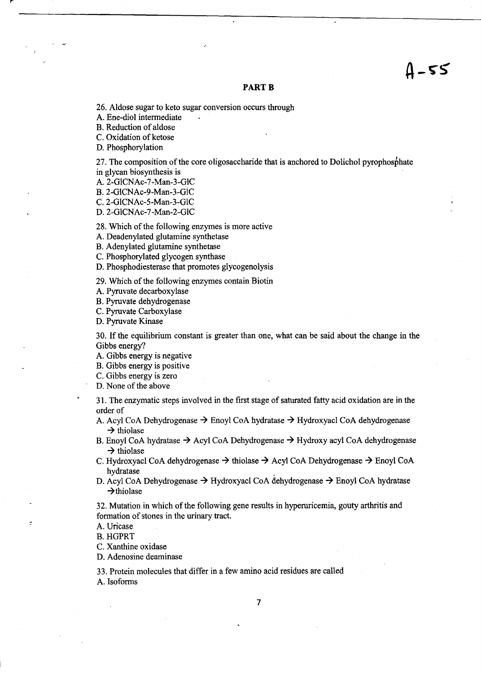# $4 - 55$

#### **PART B**

26. Aldose sugar to keto sugar conversion occurs through

A. Ene-diol intermediate

B. Reduction of aldose

C. Oxidation of ketose

D. Phosphorylation

27. The composition of the core oligosaccharide that is anchored to Dolichol pyrophosphate in glycan biosynthesis is

A. 2-GICNAc-7-Man-3-GlC

B. 2-GICNAc-9-Man-3-GIC

C. 2-GICNAc-5-Man-3-GIC

D.2-GlCNAc-7-Man-2-GIC

28. Which of the following enzymes is more active

A. Deadenylated glutamine synthetase

B. Adenylated glutamine synthetase

C. Phosphorylated glycogen synthase

D. Phosphodiesterase that promotes glycogenolysis

29. Which of the following enzymes contain Biotin

A. Pyruvate decarboxylase

B. Pyruvate dehydrogenase

C. Pyruvate Carboxylase

D. Pyruvate Kinase

30. **If** the equilibrium constant is greater than one, what can be said about the change in the Gibbs energy?

A. Gibbs energy is negative

B. Gibbs energy is positive

C. Gibbs energy is zero

D. None of the above

31. The enzymatic steps involved in the first stage of saturated fatty acid oxidation are in the order of

A. Acyl CoA Dehydrogenase  $\rightarrow$  Enoyl CoA hydratase  $\rightarrow$  Hydroxyacl CoA dehydrogenase  $\rightarrow$  thiolase

B. Enoyl CoA hydratase  $\rightarrow$  Acyl CoA Dehydrogenase  $\rightarrow$  Hydroxy acyl CoA dehydrogenase  $\rightarrow$  thiolase

C. Hydroxyacl CoA dehydrogenase  $\rightarrow$  thiolase  $\rightarrow$  Acyl CoA Dehydrogenase  $\rightarrow$  Enoyl CoA hydratase

D. Acyl CoA Dehydrogenase  $\rightarrow$  Hydroxyacl CoA dehydrogenase  $\rightarrow$  Enoyl CoA hydratase  $\rightarrow$ thiolase

32. Mutation in which of the following gene results in hyperuricemia, gouty arthritis and formation of stones in the urinary tract.

A. Uricase

B. HGPRT

C. Xanthine oxidase

D. Adenosine deaminase

33. Protein molecules that differ in a few amino acid residues are called A. Isoforms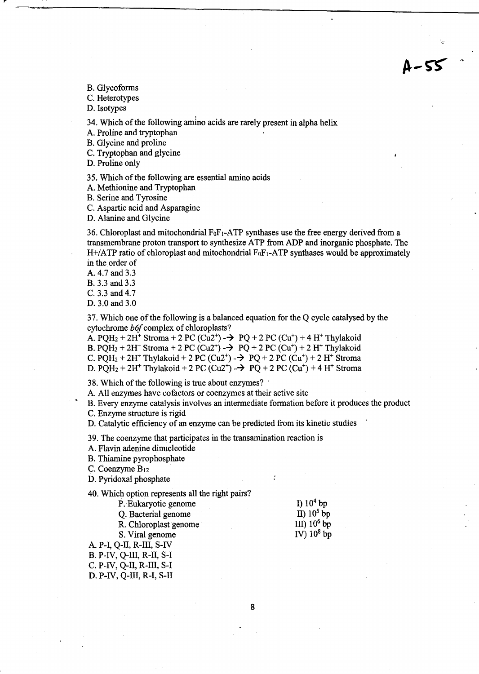B. Glycoforms

C. Heterotypes

D. Isotypes

34. Which of the following amino acids are rarely present in alpha helix

A. Proline and tryptophan

B. Glycine and proline

C. Tryptophan and glycine

D. Proline only

35. Which of the following are essential amino acids

A. Methionine and Tryptophan

B. Serine and Tyrosine

C. Aspartic acid and Asparagine

D. Alanine and Glycine

36. Chloroplast and mitochondrial  $F_0F_1$ -ATP synthases use the free energy derived from a transmembrane proton transport to synthesize ATP from ADP and inorganic phosphate. The H+/ATP ratio of chloroplast and mitochondrial  $F_0F_1$ -ATP synthases would be approximately in the order of

A. 4.7 and 3.3

B. 3.3 and 3.3

C. 3.3 and 4.7

D. 3.0 and 3.0

37. Which one ofthe following is a balanced equation for the Q cycle catalysed by the cytochrome *b6f* complex of chloroplasts?

A.  $POH<sub>2</sub> + 2H<sup>+</sup>$  Stroma + 2 PC (Cu2<sup>+</sup>) -  $\rightarrow$  PQ + 2 PC (Cu<sup>+</sup>) + 4 H<sup>+</sup> Thylakoid B. POH<sub>2</sub> + 2H<sup>+</sup> Stroma + 2 PC (Cu2<sup>+</sup>) -  $\rightarrow$  PO + 2 PC (Cu<sup>+</sup>) + 2 H<sup>+</sup> Thylakoid C. PQH<sub>2</sub> + 2H<sup>+</sup> Thylakoid + 2 PC (Cu2<sup>+</sup>) -  $\rightarrow$  PQ + 2 PC (Cu<sup>+</sup>) + 2 H<sup>+</sup> Stroma D. PQH<sub>2</sub> + 2H<sup>+</sup> Thylakoid + 2 PC (Cu2<sup>+</sup>) -  $\rightarrow$  PQ + 2 PC (Cu<sup>+</sup>) + 4 H<sup>+</sup> Stroma

38. Which of the following is true about enzymes? .

A. All enzymes have cofactors or coenzymes at their active site

• B. Every enzyme catalysis involves an intermediate formation before it produces the product C. Enzyme structure is rigid

D. Catalytic efficiency of an enzyme can be predicted from its kinetic studies

39. The coenzyme that participates in the transamination reaction is

A. Flavin adenine dinucleotide

B. Thiamine pyrophosphate

C. Coenzyme B<sub>12</sub>

D. Pyridoxal phosphate

40. Which option represents all the right pairs?

P. Eukaryotic genome

Q. Bacterial genome

R. Chloroplast genome

S. Viral genome

A. P-I, Q-II, R-III, S-IV B. P-IV, Q-III, R-II, S-I

C. P-IV, Q-II, R-III, S-I

D. P-IV, Q-III, R-I, S-II

I)  $10<sup>4</sup>$  bp II)  $10^5$  bp III)  $10^6$  bp IV)  $10^8$  bp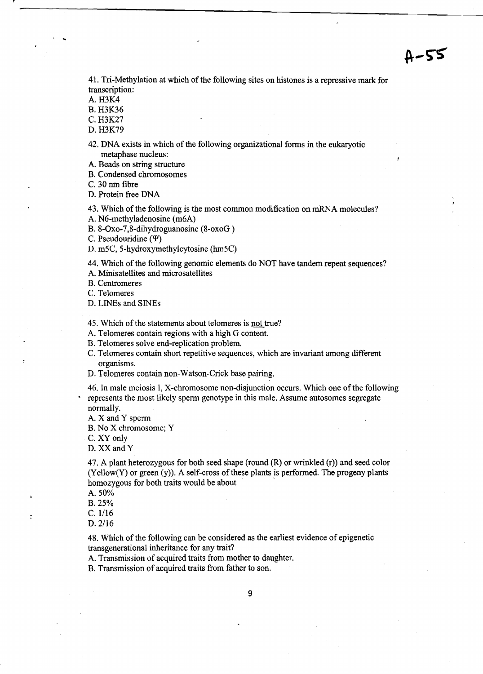$A - 55$ 

41. Tri-Methylation at which of the following sites on histones is a repressive mark for transcription:

A. H3K4

. ..

B. H3K36

C.H3K27

D. H3K79

42. DNA exists in which of the following organizational forms in the eukaryotic metaphase nucleus:

A. Beads on string structure

B. Condensed chromosomes

C. 30 nm fibre

D. Protein free DNA

43. Which of the following is the most common modification on rnRNA molecules?

A. N6-methyladenosine (m6A)

B. 8-0xo-7,8-dihydroguanosine (8-oxoG )

C. Pseudouridine  $(\Psi)$ 

D. m5C, 5-hydroxymethylcytosine (hm5C)

44. Which of the following genomic elements do NOT have tandem repeat sequences?

A. Minisatellites and microsatellites

B. Centromeres

C. Telomeres

D. LINEs and SINEs

45. Which of the statements about telomeres is not true?

A. Telomeres contain regions with a high G content.

B. Telomeres solve end-replication problem.

C. Telomeres contain short repetitive sequences, which are invariant among different organisms.

D. Telomeres contain non-Watson-Crick base pairing.

46. In male meiosis I, X-chromosome non-disjunction occurs. Which one of the following • represents the most likely sperm genotype in this male. Assume autosomes segregate normally.

A. X and Y sperm

B. No X chromosome; Y

C. XY only

D.XXandY

47. A plant heterozygous for both seed shape (round  $(R)$  or wrinkled  $(r)$ ) and seed color  $(Yellow(Y)$  or green  $(y)$ ). A self-cross of these plants is performed. The progeny plants homozygous for both traits would be about .

A. 50%

B.25%

 $C. 1/16$ 

 $\ddot{\cdot}$ 

*D.2/16* 

48. Which of the following can be considered as the earliest evidence of epigenetic transgenerational inheritance for any trait?

A. Transmission of acquired traits from mother to daughter.

B. Transmission of acquired traits from father to son.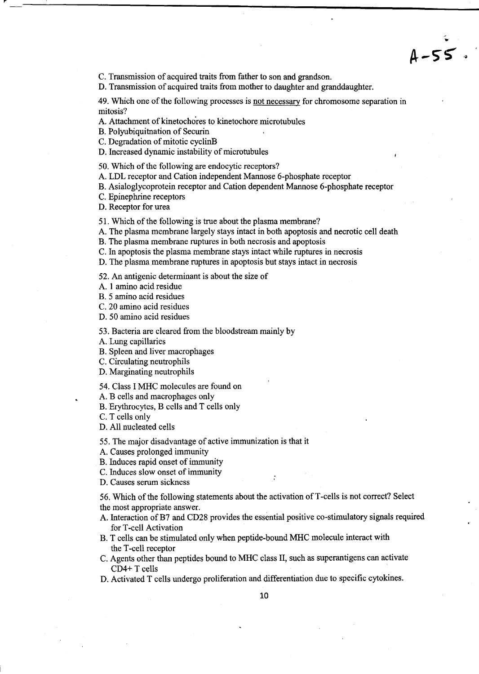C. Transmission of acquired traits from father to son and grandson.

D. Transmission of acquired traits from mother to daughter and granddaughter.

49. Which one of the following processes is not necessary for chromosome separation in mitosis?

 $A - 55.$ 

A. Attachment of kinetochores to kinetochore microtubules

B. Polyubiquitnation of Securin

C. Degradation of mitotic cyclinB

D. Increased dynamic instability of microtubules

50. Which of the following are endocytic receptors?

A. LDL receptor and Cation independent Mannose 6-phosphate receptor

B. Asialoglycoprotein receptor and Cation dependent Mannose 6-phosphate receptor

C. Epinephrine receptors

D. Receptor for urea

51. Which of the following is true about the plasma membrane?

A. The plasma membrane largely stays intact in both apoptosis and necrotic cell death

B. The plasma membrane ruptures in both necrosis and apoptosis

C. In apoptosis the plasma membrane stays intact while ruptures in necrosis

D. The plasma membrane ruptures in apoptosis but stays intact in necrosis

52. An antigenic determinant is about the size of

A. 1 amino acid residue

B. 5 amino acid residues

C. 20 amino acid residues

D. 50 amino acid residues

53. Bacteria are cleared from the bloodstream mainly by

A. Lung capillaries

B. Spleen and liver macrophages

C. Circulating neutrophils

D. Marginating neutrophils

54. Class I MHC molecules are found on

A. B cells and macrophages only

B. Erythrocytes, B cells and T cells only

C. T cells only

D. All nucleated cells

55. The major disadvantage of active immunization is that it

A. Causes prolonged immunity

B. Induces rapid onset of immunity

C. Induces slow onset of immunity

D. Causes senun sickness

56. Which of the following statements about the activation ofT -cells is not correct? Select the most appropriate answer.

- A. Interaction of B7 and CD28 provides the essential positive co-stimulatory signals required for T-cell Activation
- B. T cells can be stimulated only when peptide-bound MHC molecule interact with the T-cell receptor
- C. Agents other than peptides bound to MHC class II, such as superantigens can activate CD4+ T cells
- D. Activated T cells undergo proliferation and differentiation due to specific cytokines.

10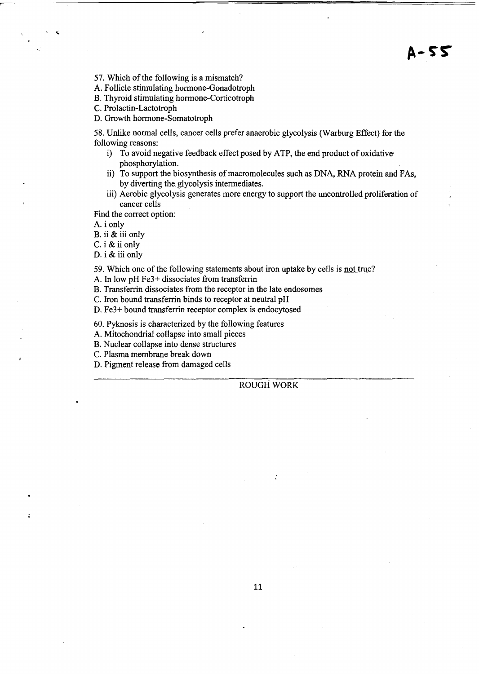57. Which of the following is a mismatch?

A. Follicle stimulating hormone-Gonadotroph

B. Thyroid stimulating hormone-Corticotroph

C. Prolactin-Lactotroph

D. Growth hormone-Somatotroph

58. Unlike normal cells, cancer cells prefer anaerobic glycolysis (Warburg Effect) for the following reasons:

- i) To avoid negative feedback effect posed by ATP, the end product of oxidative phosphorylation.
- ii) To support the biosynthesis of macromolecules such as DNA, RNA protein and FAs. by diverting the glycolysis intermediates.
- iii) Aerobic glycolysis generates more energy to support the uncontrolled proliferation of cancer cells

Find the correct option:

A. i only

B. ii & iii only

C. i & ii only

D. i & iii only

59. Which one of the following statements about iron uptake by cells is not true?

A. In low pH Fe3+ dissociates from transferrin

B. Transferrin dissociates from the receptor in the late endosomes

C. Iron bound transferrin binds to receptor at neutral pH

D. Fe3+ bound transferrin receptor complex is endocytosed

60. Pyknosis is characterized by the following features

A. Mitochondrial collapse into small pieces

B. Nuclear collapse into dense structures

C. Plasma membrane break down

D. Pigment release from damaged cells

ROUGH WORK